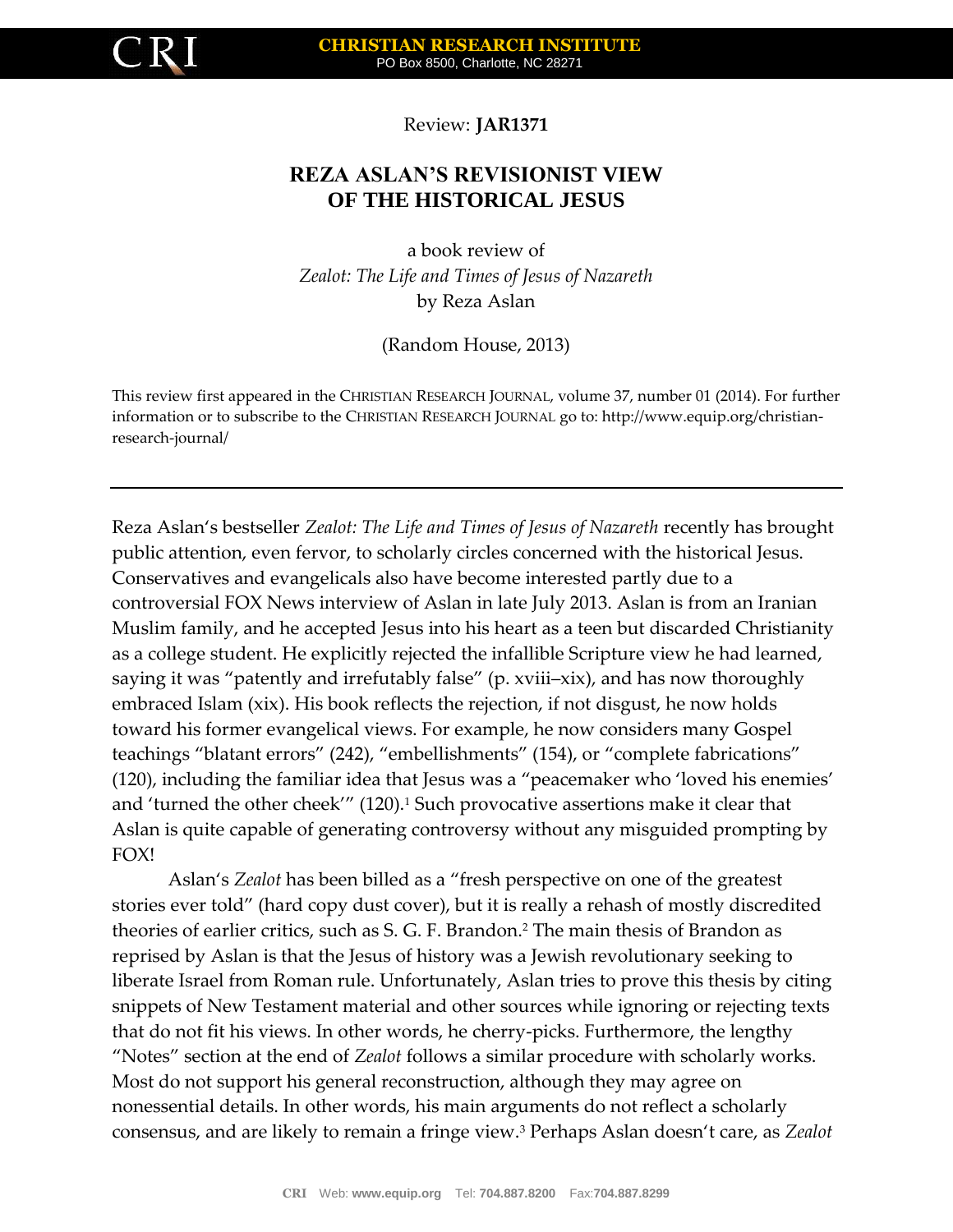

Review: **JAR1371**

## **REZA ASLAN'S REVISIONIST VIEW OF THE HISTORICAL JESUS**

a book review of *Zealot: The Life and Times of Jesus of Nazareth* by Reza Aslan

(Random House, 2013)

This review first appeared in the CHRISTIAN RESEARCH JOURNAL, volume 37, number 01 (2014). For further information or to subscribe to the CHRISTIAN RESEARCH JOURNAL go to: http://www.equip.org/christianresearch-journal/

Reza Aslan's bestseller *Zealot: The Life and Times of Jesus of Nazareth* recently has brought public attention, even fervor, to scholarly circles concerned with the historical Jesus. Conservatives and evangelicals also have become interested partly due to a controversial FOX News interview of Aslan in late July 2013. Aslan is from an Iranian Muslim family, and he accepted Jesus into his heart as a teen but discarded Christianity as a college student. He explicitly rejected the infallible Scripture view he had learned, saying it was "patently and irrefutably false" (p. xviii–xix), and has now thoroughly embraced Islam (xix). His book reflects the rejection, if not disgust, he now holds toward his former evangelical views. For example, he now considers many Gospel teachings "blatant errors" (242), "embellishments" (154), or "complete fabrications" (120), including the familiar idea that Jesus was a "peacemaker who 'loved his enemies' and 'turned the other cheek'" (120).<sup>1</sup> Such provocative assertions make it clear that Aslan is quite capable of generating controversy without any misguided prompting by FOX!

Aslan's *Zealot* has been billed as a "fresh perspective on one of the greatest stories ever told" (hard copy dust cover), but it is really a rehash of mostly discredited theories of earlier critics, such as S. G. F. Brandon.<sup>2</sup> The main thesis of Brandon as reprised by Aslan is that the Jesus of history was a Jewish revolutionary seeking to liberate Israel from Roman rule. Unfortunately, Aslan tries to prove this thesis by citing snippets of New Testament material and other sources while ignoring or rejecting texts that do not fit his views. In other words, he cherry-picks. Furthermore, the lengthy "Notes" section at the end of *Zealot* follows a similar procedure with scholarly works. Most do not support his general reconstruction, although they may agree on nonessential details. In other words, his main arguments do not reflect a scholarly consensus, and are likely to remain a fringe view.<sup>3</sup> Perhaps Aslan doesn't care, as *Zealot*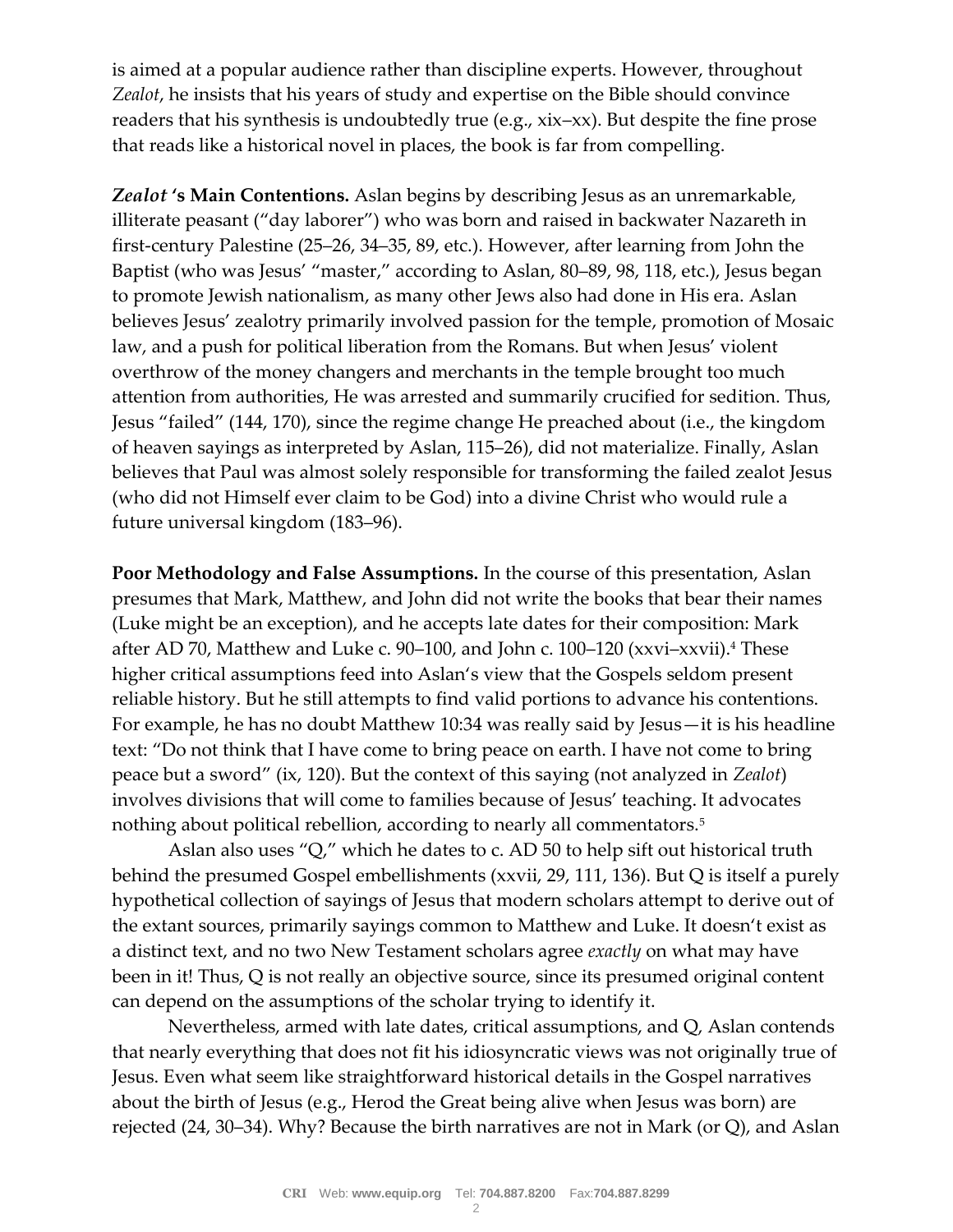is aimed at a popular audience rather than discipline experts. However, throughout *Zealot*, he insists that his years of study and expertise on the Bible should convince readers that his synthesis is undoubtedly true (e.g., xix–xx). But despite the fine prose that reads like a historical novel in places, the book is far from compelling.

*Zealot* **'s Main Contentions.** Aslan begins by describing Jesus as an unremarkable, illiterate peasant ("day laborer") who was born and raised in backwater Nazareth in first-century Palestine (25–26, 34–35, 89, etc.). However, after learning from John the Baptist (who was Jesus' "master," according to Aslan, 80–89, 98, 118, etc.), Jesus began to promote Jewish nationalism, as many other Jews also had done in His era. Aslan believes Jesus' zealotry primarily involved passion for the temple, promotion of Mosaic law, and a push for political liberation from the Romans. But when Jesus' violent overthrow of the money changers and merchants in the temple brought too much attention from authorities, He was arrested and summarily crucified for sedition. Thus, Jesus "failed" (144, 170), since the regime change He preached about (i.e., the kingdom of heaven sayings as interpreted by Aslan, 115–26), did not materialize. Finally, Aslan believes that Paul was almost solely responsible for transforming the failed zealot Jesus (who did not Himself ever claim to be God) into a divine Christ who would rule a future universal kingdom (183–96).

**Poor Methodology and False Assumptions.** In the course of this presentation, Aslan presumes that Mark, Matthew, and John did not write the books that bear their names (Luke might be an exception), and he accepts late dates for their composition: Mark after AD 70, Matthew and Luke c. 90–100, and John c. 100–120 (xxvi–xxvii).<sup>4</sup> These higher critical assumptions feed into Aslan's view that the Gospels seldom present reliable history. But he still attempts to find valid portions to advance his contentions. For example, he has no doubt Matthew 10:34 was really said by Jesus—it is his headline text: "Do not think that I have come to bring peace on earth. I have not come to bring peace but a sword" (ix, 120). But the context of this saying (not analyzed in *Zealot*) involves divisions that will come to families because of Jesus' teaching. It advocates nothing about political rebellion, according to nearly all commentators.<sup>5</sup>

Aslan also uses "Q," which he dates to c. AD 50 to help sift out historical truth behind the presumed Gospel embellishments (xxvii, 29, 111, 136). But Q is itself a purely hypothetical collection of sayings of Jesus that modern scholars attempt to derive out of the extant sources, primarily sayings common to Matthew and Luke. It doesn't exist as a distinct text, and no two New Testament scholars agree *exactly* on what may have been in it! Thus, Q is not really an objective source, since its presumed original content can depend on the assumptions of the scholar trying to identify it.

Nevertheless, armed with late dates, critical assumptions, and Q, Aslan contends that nearly everything that does not fit his idiosyncratic views was not originally true of Jesus. Even what seem like straightforward historical details in the Gospel narratives about the birth of Jesus (e.g., Herod the Great being alive when Jesus was born) are rejected (24, 30–34). Why? Because the birth narratives are not in Mark (or Q), and Aslan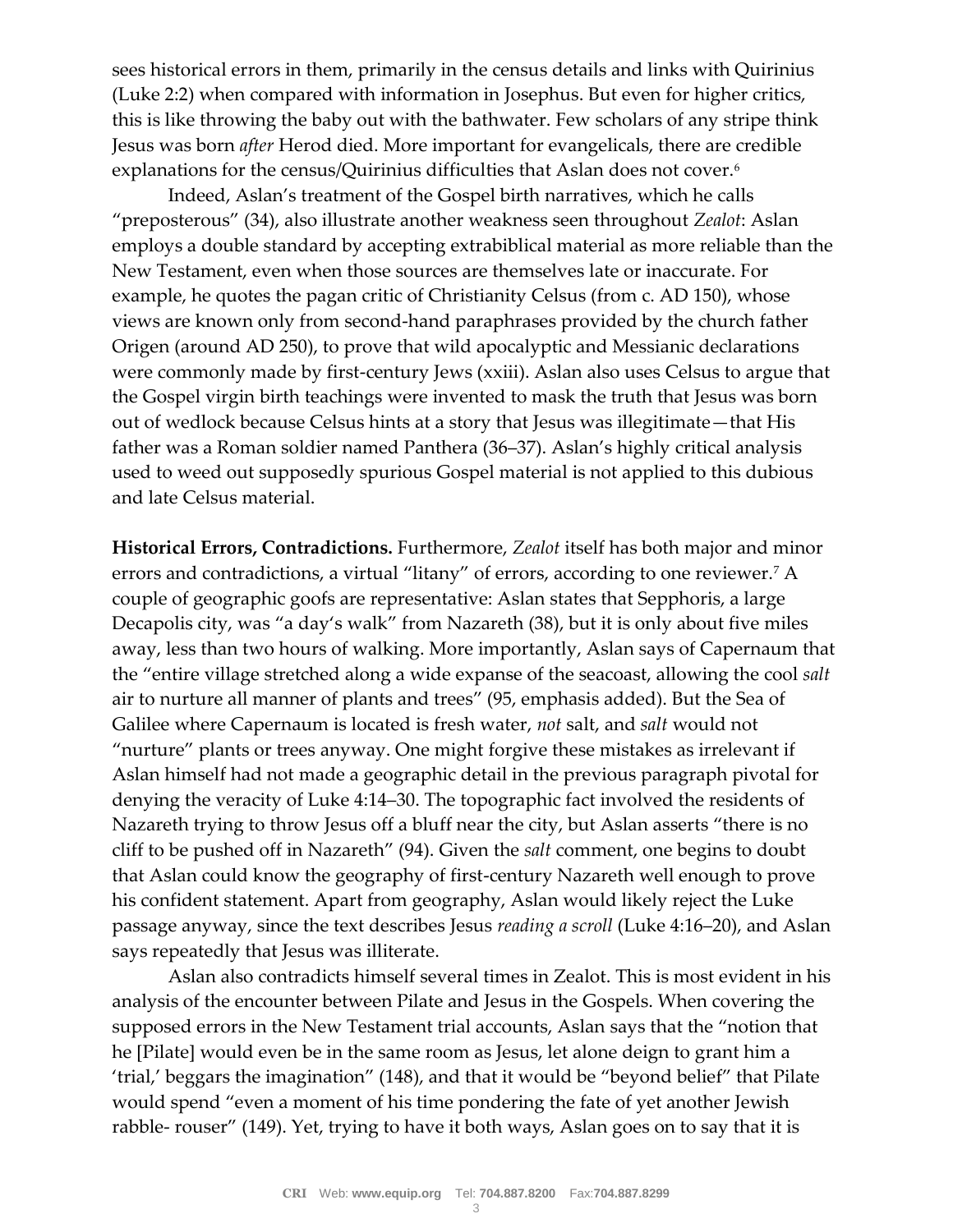sees historical errors in them, primarily in the census details and links with Quirinius (Luke 2:2) when compared with information in Josephus. But even for higher critics, this is like throwing the baby out with the bathwater. Few scholars of any stripe think Jesus was born *after* Herod died. More important for evangelicals, there are credible explanations for the census/Quirinius difficulties that Aslan does not cover.<sup>6</sup>

Indeed, Aslan's treatment of the Gospel birth narratives, which he calls "preposterous" (34), also illustrate another weakness seen throughout *Zealot*: Aslan employs a double standard by accepting extrabiblical material as more reliable than the New Testament, even when those sources are themselves late or inaccurate. For example, he quotes the pagan critic of Christianity Celsus (from c. AD 150), whose views are known only from second-hand paraphrases provided by the church father Origen (around AD 250), to prove that wild apocalyptic and Messianic declarations were commonly made by first-century Jews (xxiii). Aslan also uses Celsus to argue that the Gospel virgin birth teachings were invented to mask the truth that Jesus was born out of wedlock because Celsus hints at a story that Jesus was illegitimate—that His father was a Roman soldier named Panthera (36–37). Aslan's highly critical analysis used to weed out supposedly spurious Gospel material is not applied to this dubious and late Celsus material.

**Historical Errors, Contradictions.** Furthermore, *Zealot* itself has both major and minor errors and contradictions, a virtual "litany" of errors, according to one reviewer.<sup>7</sup> A couple of geographic goofs are representative: Aslan states that Sepphoris, a large Decapolis city, was "a day's walk" from Nazareth (38), but it is only about five miles away, less than two hours of walking. More importantly, Aslan says of Capernaum that the "entire village stretched along a wide expanse of the seacoast, allowing the cool *salt* air to nurture all manner of plants and trees" (95, emphasis added). But the Sea of Galilee where Capernaum is located is fresh water, *not* salt, and *salt* would not "nurture" plants or trees anyway. One might forgive these mistakes as irrelevant if Aslan himself had not made a geographic detail in the previous paragraph pivotal for denying the veracity of Luke 4:14–30. The topographic fact involved the residents of Nazareth trying to throw Jesus off a bluff near the city, but Aslan asserts "there is no cliff to be pushed off in Nazareth" (94). Given the *salt* comment, one begins to doubt that Aslan could know the geography of first-century Nazareth well enough to prove his confident statement. Apart from geography, Aslan would likely reject the Luke passage anyway, since the text describes Jesus *reading a scroll* (Luke 4:16–20), and Aslan says repeatedly that Jesus was illiterate.

Aslan also contradicts himself several times in Zealot. This is most evident in his analysis of the encounter between Pilate and Jesus in the Gospels. When covering the supposed errors in the New Testament trial accounts, Aslan says that the "notion that he [Pilate] would even be in the same room as Jesus, let alone deign to grant him a 'trial,' beggars the imagination" (148), and that it would be "beyond belief" that Pilate would spend "even a moment of his time pondering the fate of yet another Jewish rabble- rouser" (149). Yet, trying to have it both ways, Aslan goes on to say that it is